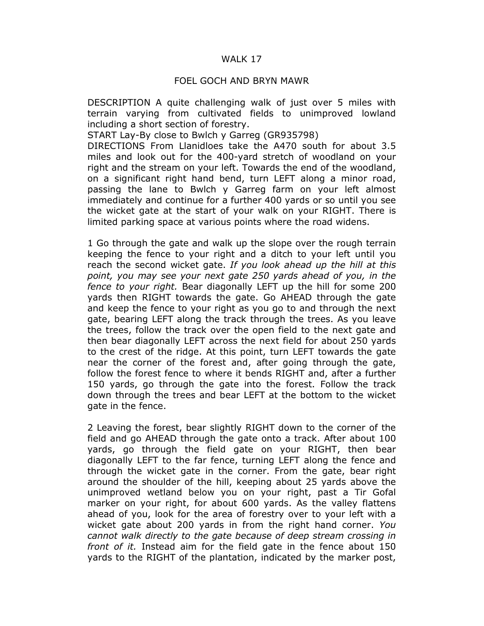## WALK 17

## FOEL GOCH AND BRYN MAWR

DESCRIPTION A quite challenging walk of just over 5 miles with terrain varying from cultivated fields to unimproved lowland including a short section of forestry.

START Lay-By close to Bwlch y Garreg (GR935798)

DIRECTIONS From Llanidloes take the A470 south for about 3.5 miles and look out for the 400-yard stretch of woodland on your right and the stream on your left. Towards the end of the woodland, on a significant right hand bend, turn LEFT along a minor road, passing the lane to Bwlch y Garreg farm on your left almost immediately and continue for a further 400 yards or so until you see the wicket gate at the start of your walk on your RIGHT. There is limited parking space at various points where the road widens.

1 Go through the gate and walk up the slope over the rough terrain keeping the fence to your right and a ditch to your left until you reach the second wicket gate. If you look ahead up the hill at this point, you may see your next gate 250 yards ahead of you, in the fence to your right. Bear diagonally LEFT up the hill for some 200 yards then RIGHT towards the gate. Go AHEAD through the gate and keep the fence to your right as you go to and through the next gate, bearing LEFT along the track through the trees. As you leave the trees, follow the track over the open field to the next gate and then bear diagonally LEFT across the next field for about 250 yards to the crest of the ridge. At this point, turn LEFT towards the gate near the corner of the forest and, after going through the gate, follow the forest fence to where it bends RIGHT and, after a further 150 yards, go through the gate into the forest. Follow the track down through the trees and bear LEFT at the bottom to the wicket gate in the fence.

2 Leaving the forest, bear slightly RIGHT down to the corner of the field and go AHEAD through the gate onto a track. After about 100 yards, go through the field gate on your RIGHT, then bear diagonally LEFT to the far fence, turning LEFT along the fence and through the wicket gate in the corner. From the gate, bear right around the shoulder of the hill, keeping about 25 yards above the unimproved wetland below you on your right, past a Tir Gofal marker on your right, for about 600 yards. As the valley flattens ahead of you, look for the area of forestry over to your left with a wicket gate about 200 yards in from the right hand corner. You cannot walk directly to the gate because of deep stream crossing in front of it. Instead aim for the field gate in the fence about 150 yards to the RIGHT of the plantation, indicated by the marker post,